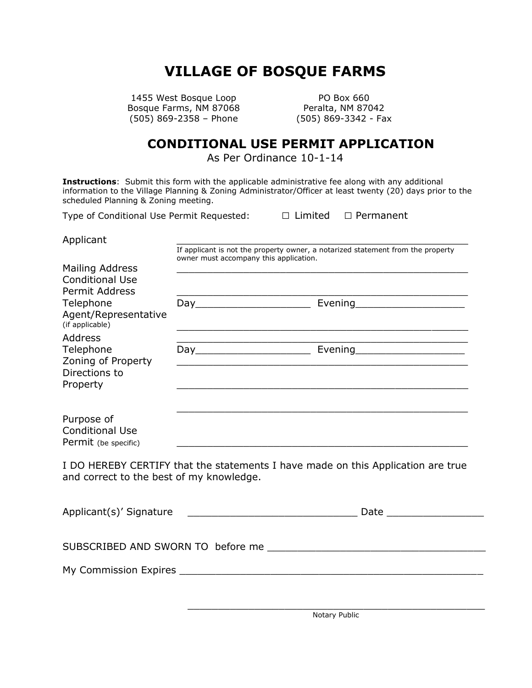## **VILLAGE OF BOSQUE FARMS**

1455 West Bosque Loop PO Box 660 Bosque Farms, NM 87068 Peralta, NM 87042  $(505) 869 - 2358 - 256$ <br>(505) 869-3342 - Fax

## **CONDITIONAL USE PERMIT APPLICATION**

As Per Ordinance 10-1-14

**Instructions**: Submit this form with the applicable administrative fee along with any additional information to the Village Planning & Zoning Administrator/Officer at least twenty (20) days prior to the scheduled Planning & Zoning meeting.

Type of Conditional Use Permit Requested: □ Limited □ Permanent

Applicant \_\_\_\_\_\_\_\_\_\_\_\_\_\_\_\_\_\_\_\_\_\_\_\_\_\_\_\_\_\_\_\_\_\_\_\_\_\_\_\_\_\_\_\_\_\_\_\_

If applicant is not the property owner, a notarized statement from the property owner must accompany this application.

| <b>Mailing Address</b><br><b>Conditional Use</b><br><b>Permit Address</b>      |     |         |
|--------------------------------------------------------------------------------|-----|---------|
| Telephone<br>Agent/Representative<br>(if applicable)                           | Day | Evening |
| <b>Address</b><br>Telephone<br>Zoning of Property<br>Directions to<br>Property | Day | Evening |
| Purpose of<br><b>Conditional Use</b><br>Permit (be specific)                   |     |         |

I DO HEREBY CERTIFY that the statements I have made on this Application are true and correct to the best of my knowledge.

| Applicant(s)' Signature |  |
|-------------------------|--|
|                         |  |

SUBSCRIBED AND SWORN TO before me \_\_\_\_\_\_\_\_\_\_\_\_\_\_\_\_\_\_\_\_\_\_\_\_\_\_\_\_\_\_\_\_\_\_\_\_

My Commission Expires **Expires Expires Expires Expires Expires Expires Expires Expires EXPIRENT**